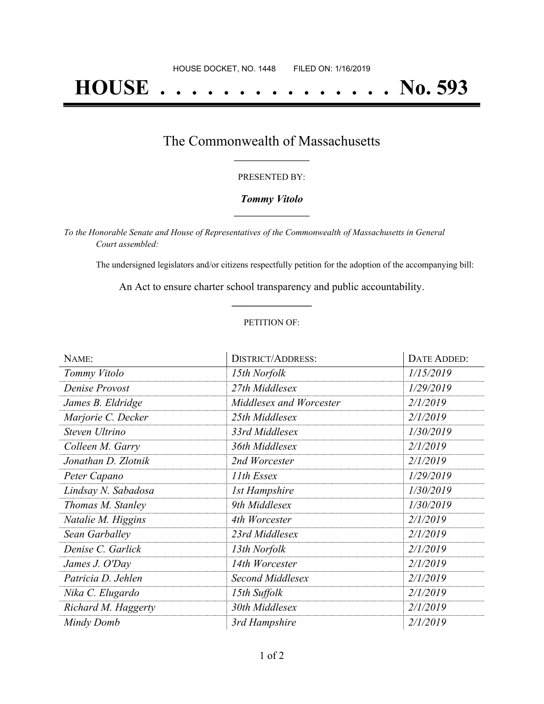# **HOUSE . . . . . . . . . . . . . . . No. 593**

### The Commonwealth of Massachusetts **\_\_\_\_\_\_\_\_\_\_\_\_\_\_\_\_\_**

#### PRESENTED BY:

#### *Tommy Vitolo* **\_\_\_\_\_\_\_\_\_\_\_\_\_\_\_\_\_**

*To the Honorable Senate and House of Representatives of the Commonwealth of Massachusetts in General Court assembled:*

The undersigned legislators and/or citizens respectfully petition for the adoption of the accompanying bill:

An Act to ensure charter school transparency and public accountability. **\_\_\_\_\_\_\_\_\_\_\_\_\_\_\_**

#### PETITION OF:

| NAME:               | <b>DISTRICT/ADDRESS:</b> | DATE ADDED: |
|---------------------|--------------------------|-------------|
| Tommy Vitolo        | 15th Norfolk             | 1/15/2019   |
| Denise Provost      | 27th Middlesex           | 1/29/2019   |
| James B. Eldridge   | Middlesex and Worcester  | 2/1/2019    |
| Marjorie C. Decker  | 25th Middlesex           | 2/1/2019    |
| Steven Ultrino      | 33rd Middlesex           | 1/30/2019   |
| Colleen M. Garry    | 36th Middlesex           | 2/1/2019    |
| Jonathan D. Zlotnik | 2nd Worcester            | 2/1/2019    |
| Peter Capano        | 11th Essex               | 1/29/2019   |
| Lindsay N. Sabadosa | 1st Hampshire            | 1/30/2019   |
| Thomas M. Stanley   | 9th Middlesex            | 1/30/2019   |
| Natalie M. Higgins  | 4th Worcester            | 2/1/2019    |
| Sean Garballey      | 23rd Middlesex           | 2/1/2019    |
| Denise C. Garlick   | 13th Norfolk             | 2/1/2019    |
| James J. O'Day      | 14th Worcester           | 2/1/2019    |
| Patricia D. Jehlen  | Second Middlesex         | 2/1/2019    |
| Nika C. Elugardo    | 15th Suffolk             | 2/1/2019    |
| Richard M. Haggerty | 30th Middlesex           | 2/1/2019    |
| Mindy Domb          | 3rd Hampshire            | 2/1/2019    |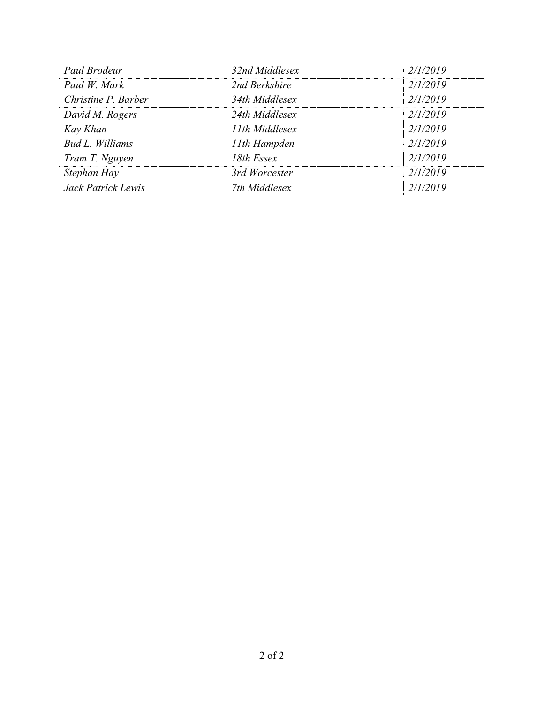| Paul Brodeur        | 32nd Middlesex | 2/1/2019 |
|---------------------|----------------|----------|
| Paul W. Mark        | 2nd Berkshire  | 2/1/2019 |
| Christine P. Barber | 34th Middlesex | 2/1/2019 |
| David M. Rogers     | 24th Middlesex | 2/1/2019 |
| Kay Khan            | 11th Middlesex | 2/1/2019 |
| Bud L. Williams     | 11th Hampden   | 2/1/2019 |
| Tram T. Nguyen      | 18th Essex     | 2/1/2019 |
| Stephan Hay         | 3rd Worcester  | 2/1/2019 |
| Jack Patrick Lewis  | 7th Middlesex  | 2/1/2019 |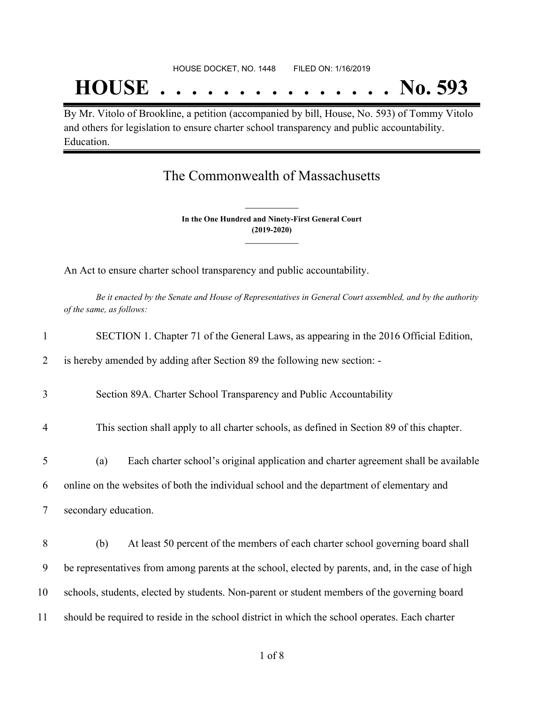## **HOUSE . . . . . . . . . . . . . . . No. 593**

By Mr. Vitolo of Brookline, a petition (accompanied by bill, House, No. 593) of Tommy Vitolo and others for legislation to ensure charter school transparency and public accountability. Education.

### The Commonwealth of Massachusetts

**In the One Hundred and Ninety-First General Court (2019-2020) \_\_\_\_\_\_\_\_\_\_\_\_\_\_\_**

**\_\_\_\_\_\_\_\_\_\_\_\_\_\_\_**

An Act to ensure charter school transparency and public accountability.

Be it enacted by the Senate and House of Representatives in General Court assembled, and by the authority *of the same, as follows:*

| $\mathbf{1}$   | SECTION 1. Chapter 71 of the General Laws, as appearing in the 2016 Official Edition,             |  |  |
|----------------|---------------------------------------------------------------------------------------------------|--|--|
| 2              | is hereby amended by adding after Section 89 the following new section: -                         |  |  |
| 3              | Section 89A. Charter School Transparency and Public Accountability                                |  |  |
| $\overline{4}$ | This section shall apply to all charter schools, as defined in Section 89 of this chapter.        |  |  |
| 5              | Each charter school's original application and charter agreement shall be available<br>(a)        |  |  |
| 6              | online on the websites of both the individual school and the department of elementary and         |  |  |
| $\tau$         | secondary education.                                                                              |  |  |
| 8              | At least 50 percent of the members of each charter school governing board shall<br>(b)            |  |  |
| 9              | be representatives from among parents at the school, elected by parents, and, in the case of high |  |  |
| 10             | schools, students, elected by students. Non-parent or student members of the governing board      |  |  |
| 11             | should be required to reside in the school district in which the school operates. Each charter    |  |  |
|                |                                                                                                   |  |  |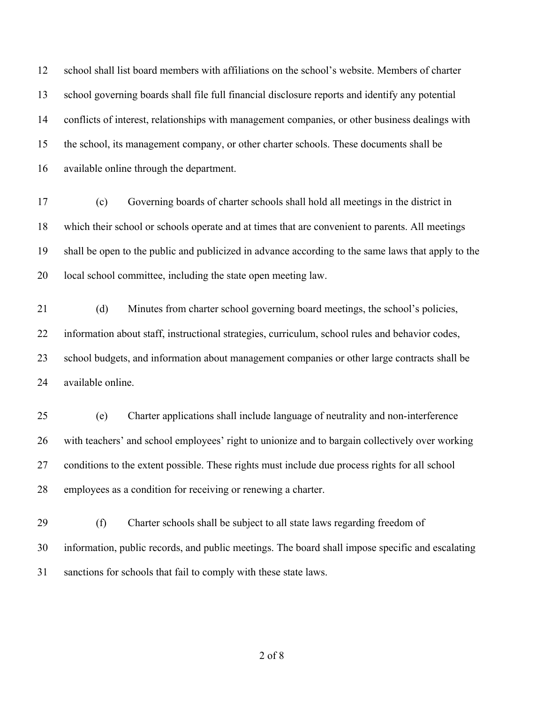school shall list board members with affiliations on the school's website. Members of charter school governing boards shall file full financial disclosure reports and identify any potential conflicts of interest, relationships with management companies, or other business dealings with the school, its management company, or other charter schools. These documents shall be available online through the department.

 (c) Governing boards of charter schools shall hold all meetings in the district in which their school or schools operate and at times that are convenient to parents. All meetings shall be open to the public and publicized in advance according to the same laws that apply to the local school committee, including the state open meeting law.

 (d) Minutes from charter school governing board meetings, the school's policies, information about staff, instructional strategies, curriculum, school rules and behavior codes, school budgets, and information about management companies or other large contracts shall be available online.

 (e) Charter applications shall include language of neutrality and non-interference with teachers' and school employees' right to unionize and to bargain collectively over working conditions to the extent possible. These rights must include due process rights for all school employees as a condition for receiving or renewing a charter.

 (f) Charter schools shall be subject to all state laws regarding freedom of information, public records, and public meetings. The board shall impose specific and escalating sanctions for schools that fail to comply with these state laws.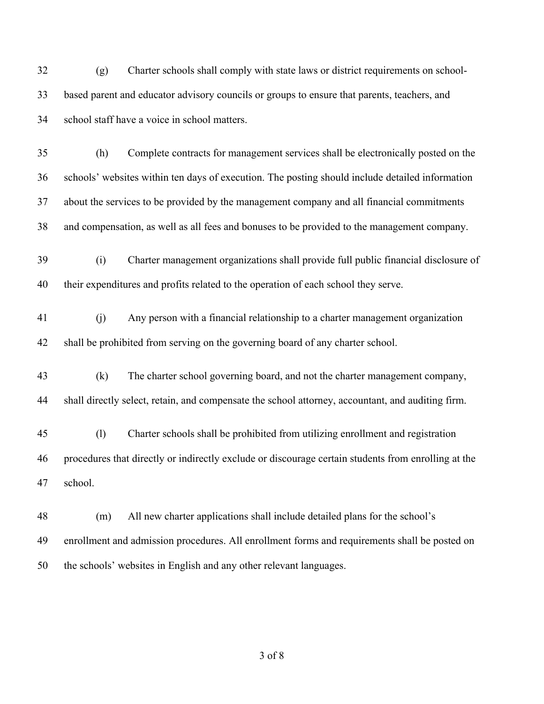(g) Charter schools shall comply with state laws or district requirements on school- based parent and educator advisory councils or groups to ensure that parents, teachers, and school staff have a voice in school matters.

 (h) Complete contracts for management services shall be electronically posted on the schools' websites within ten days of execution. The posting should include detailed information about the services to be provided by the management company and all financial commitments and compensation, as well as all fees and bonuses to be provided to the management company.

- (i) Charter management organizations shall provide full public financial disclosure of their expenditures and profits related to the operation of each school they serve.
- (j) Any person with a financial relationship to a charter management organization shall be prohibited from serving on the governing board of any charter school.
- (k) The charter school governing board, and not the charter management company, shall directly select, retain, and compensate the school attorney, accountant, and auditing firm.
- (l) Charter schools shall be prohibited from utilizing enrollment and registration procedures that directly or indirectly exclude or discourage certain students from enrolling at the school.
- (m) All new charter applications shall include detailed plans for the school's enrollment and admission procedures. All enrollment forms and requirements shall be posted on the schools' websites in English and any other relevant languages.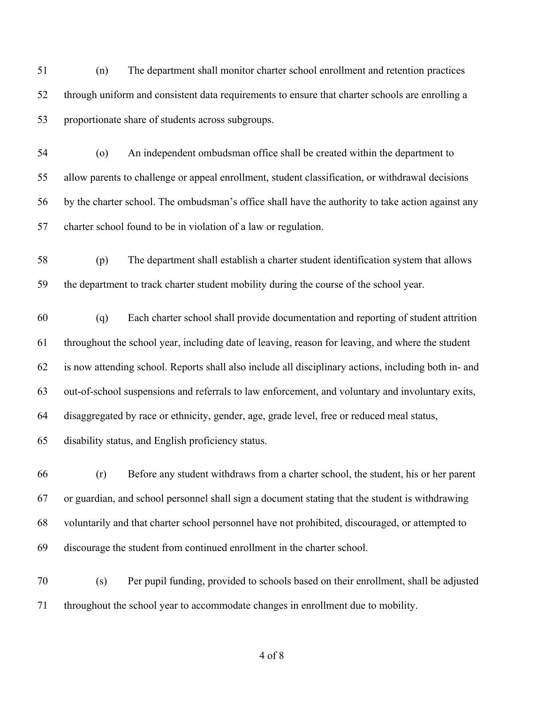(n) The department shall monitor charter school enrollment and retention practices through uniform and consistent data requirements to ensure that charter schools are enrolling a proportionate share of students across subgroups.

 (o) An independent ombudsman office shall be created within the department to allow parents to challenge or appeal enrollment, student classification, or withdrawal decisions by the charter school. The ombudsman's office shall have the authority to take action against any charter school found to be in violation of a law or regulation.

 (p) The department shall establish a charter student identification system that allows the department to track charter student mobility during the course of the school year.

 (q) Each charter school shall provide documentation and reporting of student attrition throughout the school year, including date of leaving, reason for leaving, and where the student is now attending school. Reports shall also include all disciplinary actions, including both in- and out-of-school suspensions and referrals to law enforcement, and voluntary and involuntary exits, disaggregated by race or ethnicity, gender, age, grade level, free or reduced meal status, disability status, and English proficiency status.

 (r) Before any student withdraws from a charter school, the student, his or her parent or guardian, and school personnel shall sign a document stating that the student is withdrawing voluntarily and that charter school personnel have not prohibited, discouraged, or attempted to discourage the student from continued enrollment in the charter school.

 (s) Per pupil funding, provided to schools based on their enrollment, shall be adjusted throughout the school year to accommodate changes in enrollment due to mobility.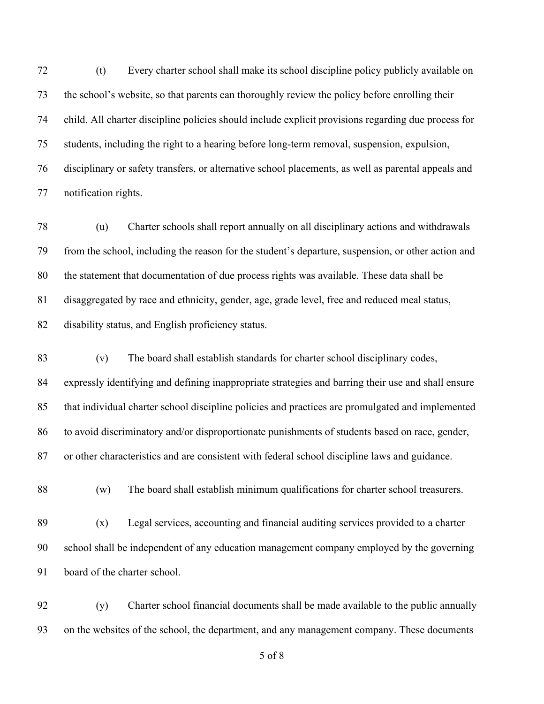(t) Every charter school shall make its school discipline policy publicly available on the school's website, so that parents can thoroughly review the policy before enrolling their child. All charter discipline policies should include explicit provisions regarding due process for students, including the right to a hearing before long-term removal, suspension, expulsion, disciplinary or safety transfers, or alternative school placements, as well as parental appeals and notification rights.

 (u) Charter schools shall report annually on all disciplinary actions and withdrawals from the school, including the reason for the student's departure, suspension, or other action and the statement that documentation of due process rights was available. These data shall be disaggregated by race and ethnicity, gender, age, grade level, free and reduced meal status, disability status, and English proficiency status.

 (v) The board shall establish standards for charter school disciplinary codes, expressly identifying and defining inappropriate strategies and barring their use and shall ensure that individual charter school discipline policies and practices are promulgated and implemented 86 to avoid discriminatory and/or disproportionate punishments of students based on race, gender, or other characteristics and are consistent with federal school discipline laws and guidance.

(w) The board shall establish minimum qualifications for charter school treasurers.

 (x) Legal services, accounting and financial auditing services provided to a charter school shall be independent of any education management company employed by the governing board of the charter school.

 (y) Charter school financial documents shall be made available to the public annually on the websites of the school, the department, and any management company. These documents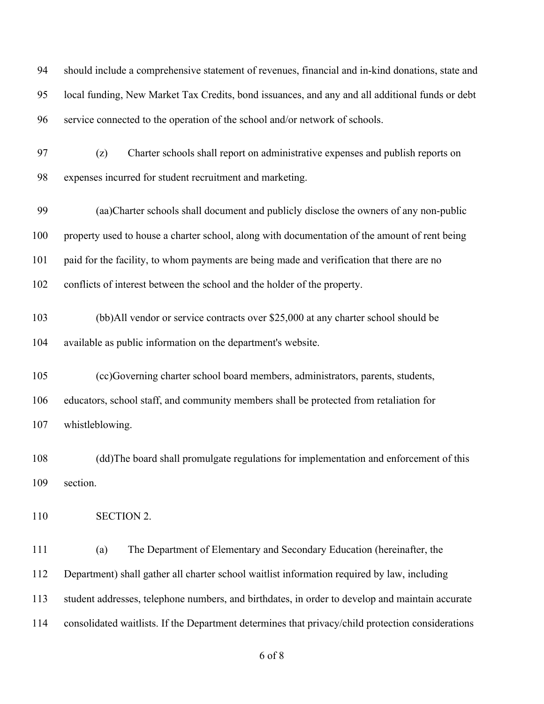should include a comprehensive statement of revenues, financial and in-kind donations, state and local funding, New Market Tax Credits, bond issuances, and any and all additional funds or debt service connected to the operation of the school and/or network of schools. (z) Charter schools shall report on administrative expenses and publish reports on expenses incurred for student recruitment and marketing. (aa)Charter schools shall document and publicly disclose the owners of any non-public property used to house a charter school, along with documentation of the amount of rent being paid for the facility, to whom payments are being made and verification that there are no conflicts of interest between the school and the holder of the property. (bb)All vendor or service contracts over \$25,000 at any charter school should be available as public information on the department's website. (cc)Governing charter school board members, administrators, parents, students, educators, school staff, and community members shall be protected from retaliation for whistleblowing. (dd)The board shall promulgate regulations for implementation and enforcement of this section. SECTION 2. (a) The Department of Elementary and Secondary Education (hereinafter, the Department) shall gather all charter school waitlist information required by law, including student addresses, telephone numbers, and birthdates, in order to develop and maintain accurate consolidated waitlists. If the Department determines that privacy/child protection considerations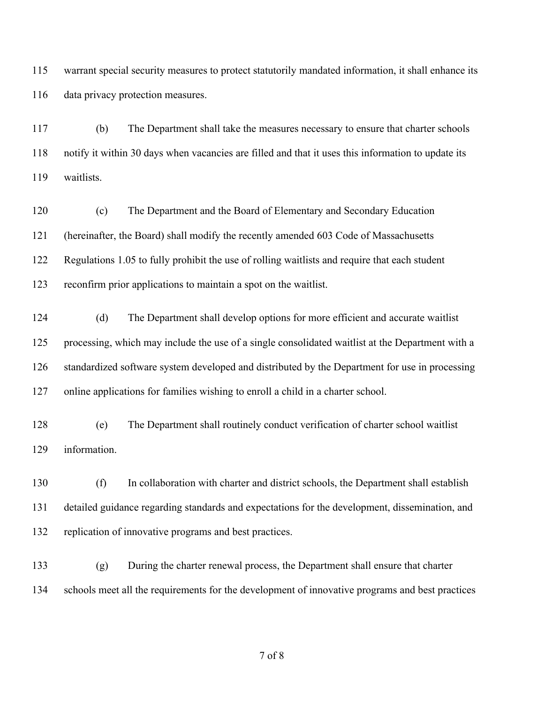warrant special security measures to protect statutorily mandated information, it shall enhance its data privacy protection measures.

 (b) The Department shall take the measures necessary to ensure that charter schools notify it within 30 days when vacancies are filled and that it uses this information to update its waitlists.

 (c) The Department and the Board of Elementary and Secondary Education (hereinafter, the Board) shall modify the recently amended 603 Code of Massachusetts Regulations 1.05 to fully prohibit the use of rolling waitlists and require that each student reconfirm prior applications to maintain a spot on the waitlist.

 (d) The Department shall develop options for more efficient and accurate waitlist processing, which may include the use of a single consolidated waitlist at the Department with a standardized software system developed and distributed by the Department for use in processing online applications for families wishing to enroll a child in a charter school.

 (e) The Department shall routinely conduct verification of charter school waitlist information.

 (f) In collaboration with charter and district schools, the Department shall establish detailed guidance regarding standards and expectations for the development, dissemination, and replication of innovative programs and best practices.

 (g) During the charter renewal process, the Department shall ensure that charter schools meet all the requirements for the development of innovative programs and best practices